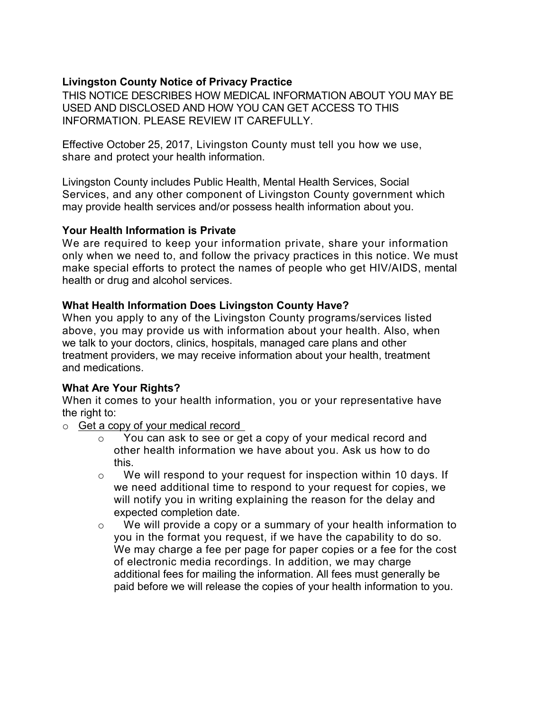## **Livingston County Notice of Privacy Practice**

THIS NOTICE DESCRIBES HOW MEDICAL INFORMATION ABOUT YOU MAY BE USED AND DISCLOSED AND HOW YOU CAN GET ACCESS TO THIS INFORMATION. PLEASE REVIEW IT CAREFULLY.

Effective October 25, 2017, Livingston County must tell you how we use, share and protect your health information.

Livingston County includes Public Health, Mental Health Services, Social Services, and any other component of Livingston County government which may provide health services and/or possess health information about you.

### **Your Health Information is Private**

We are required to keep your information private, share your information only when we need to, and follow the privacy practices in this notice. We must make special efforts to protect the names of people who get HIV/AIDS, mental health or drug and alcohol services.

## **What Health Information Does Livingston County Have?**

When you apply to any of the Livingston County programs/services listed above, you may provide us with information about your health. Also, when we talk to your doctors, clinics, hospitals, managed care plans and other treatment providers, we may receive information about your health, treatment and medications.

## **What Are Your Rights?**

When it comes to your health information, you or your representative have the right to:

- o Get a copy of your medical record
	- o You can ask to see or get a copy of your medical record and other health information we have about you. Ask us how to do this.
	- $\circ$  We will respond to your request for inspection within 10 days. If we need additional time to respond to your request for copies, we will notify you in writing explaining the reason for the delay and expected completion date.
	- o We will provide a copy or a summary of your health information to you in the format you request, if we have the capability to do so. We may charge a fee per page for paper copies or a fee for the cost of electronic media recordings. In addition, we may charge additional fees for mailing the information. All fees must generally be paid before we will release the copies of your health information to you.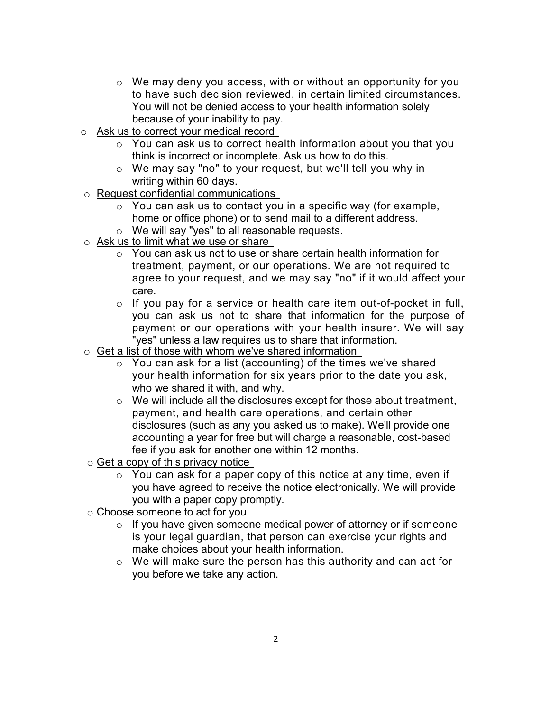- o We may deny you access, with or without an opportunity for you to have such decision reviewed, in certain limited circumstances. You will not be denied access to your health information solely because of your inability to pay.
- o Ask us to correct your medical record
	- $\overline{\circ}$  You can ask us to correct health information about you that you think is incorrect or incomplete. Ask us how to do this.
	- o We may say "no" to your request, but we'll tell you why in writing within 60 days.
- o Request confidential communications
	- $\circ$  You can ask us to contact you in a specific way (for example, home or office phone) or to send mail to a different address.
	- o We will say "yes" to all reasonable requests.
- o Ask us to limit what we use or share
	- You can ask us not to use or share certain health information for treatment, payment, or our operations. We are not required to agree to your request, and we may say "no" if it would affect your care.
	- $\circ$  If you pay for a service or health care item out-of-pocket in full, you can ask us not to share that information for the purpose of payment or our operations with your health insurer. We will say "yes" unless a law requires us to share that information.
- $\circ$  Get a list of those with whom we've shared information
	- o You can ask for a list (accounting) of the times we've shared your health information for six years prior to the date you ask, who we shared it with, and why.
	- o We will include all the disclosures except for those about treatment, payment, and health care operations, and certain other disclosures (such as any you asked us to make). We'll provide one accounting a year for free but will charge a reasonable, cost-based fee if you ask for another one within 12 months.
- $\circ$  Get a copy of this privacy notice
	- $\circ$  You can ask for a paper copy of this notice at any time, even if you have agreed to receive the notice electronically. We will provide you with a paper copy promptly.
- o Choose someone to act for you
	- $\circ$  If you have given someone medical power of attorney or if someone is your legal guardian, that person can exercise your rights and make choices about your health information.
	- o We will make sure the person has this authority and can act for you before we take any action.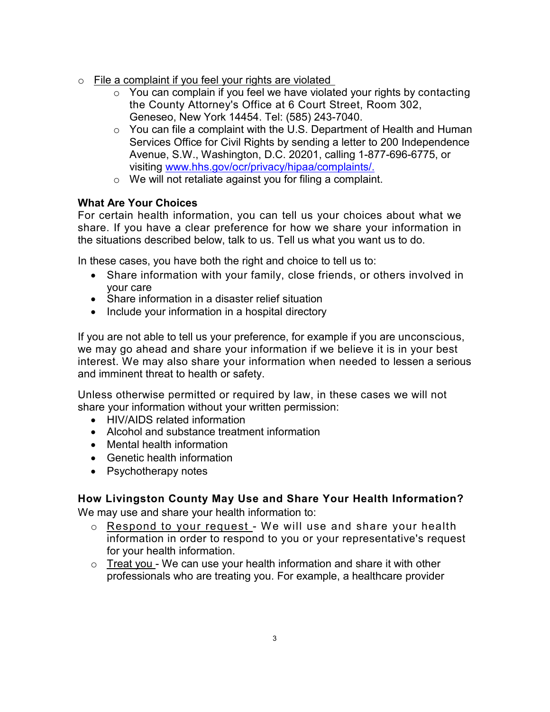- o File a complaint if you feel your rights are violated
	- $\circ$  You can complain if you feel we have violated your rights by contacting the County Attorney's Office at 6 Court Street, Room 302, Geneseo, New York 14454. Tel: (585) 243-7040.
	- $\circ$  You can file a complaint with the U.S. Department of Health and Human Services Office for Civil Rights by sending a letter to 200 Independence Avenue, S.W., Washington, D.C. 20201, calling 1-877-696-6775, or visiting [www.hhs.gov/ocr/privacy/hipaa/complaints/.](http://www.hhs.gov/ocr/privacy/hipaa/complaints/)
	- o We will not retaliate against you for filing a complaint.

## **What Are Your Choices**

For certain health information, you can tell us your choices about what we share. If you have a clear preference for how we share your information in the situations described below, talk to us. Tell us what you want us to do.

In these cases, you have both the right and choice to tell us to:

- Share information with your family, close friends, or others involved in your care
- Share information in a disaster relief situation
- Include your information in a hospital directory

If you are not able to tell us your preference, for example if you are unconscious, we may go ahead and share your information if we believe it is in your best interest. We may also share your information when needed to lessen a serious and imminent threat to health or safety.

Unless otherwise permitted or required by law, in these cases we will not share your information without your written permission:

- HIV/AIDS related information
- Alcohol and substance treatment information
- Mental health information
- Genetic health information
- Psychotherapy notes

# **How Livingston County May Use and Share Your Health Information?**

We may use and share your health information to:

- o Respond to your request We will use and share your health information in order to respond to you or your representative's request for your health information.
- $\circ$  Treat you We can use your health information and share it with other professionals who are treating you. For example, a healthcare provider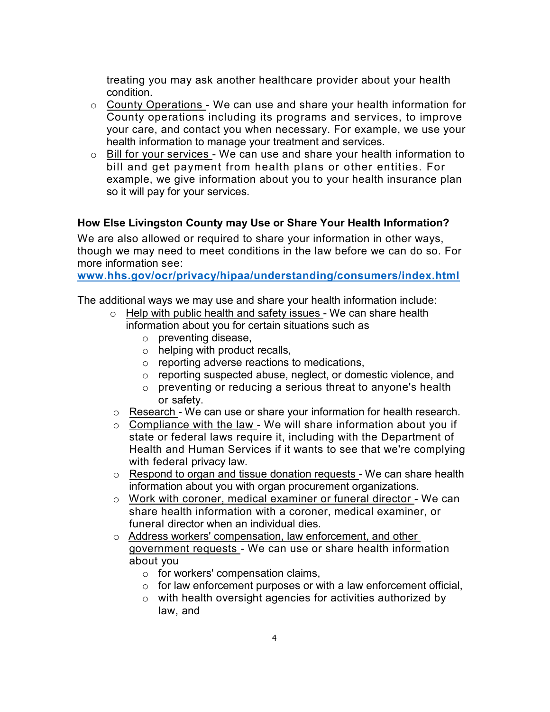treating you may ask another healthcare provider about your health condition.

- o County Operations We can use and share your health information for County operations including its programs and services, to improve your care, and contact you when necessary. For example, we use your health information to manage your treatment and services.
- o Bill for your services We can use and share your health information to bill and get payment from health plans or other entities. For example, we give information about you to your health insurance plan so it will pay for your services.

#### **How Else Livingston County may Use or Share Your Health Information?**

We are also allowed or required to share your information in other ways, though we may need to meet conditions in the law before we can do so. For more information see:

**[www.hhs.gov/ocr/privacy/hipaa/understanding/consumers/index.html](http://www.hhs.gov/ocr/privacy/hipaa/understanding/consumers/index.html)**

The additional ways we may use and share your health information include:

- $\circ$  Help with public health and safety issues We can share health information about you for certain situations such as
	- o preventing disease,
	- $\circ$  helping with product recalls,
	- o reporting adverse reactions to medications,
	- o reporting suspected abuse, neglect, or domestic violence, and
	- o preventing or reducing a serious threat to anyone's health or safety.
	- o Research We can use or share your information for health research.
	- $\circ$  Compliance with the law We will share information about you if state or federal laws require it, including with the Department of Health and Human Services if it wants to see that we're complying with federal privacy law.
	- $\circ$  Respond to organ and tissue donation requests We can share health information about you with organ procurement organizations.
	- o Work with coroner, medical examiner or funeral director We can share health information with a coroner, medical examiner, or funeral director when an individual dies.
	- o Address workers' compensation, law enforcement, and other government requests - We can use or share health information about you
		- o for workers' compensation claims,
		- $\circ$  for law enforcement purposes or with a law enforcement official,
		- o with health oversight agencies for activities authorized by law, and